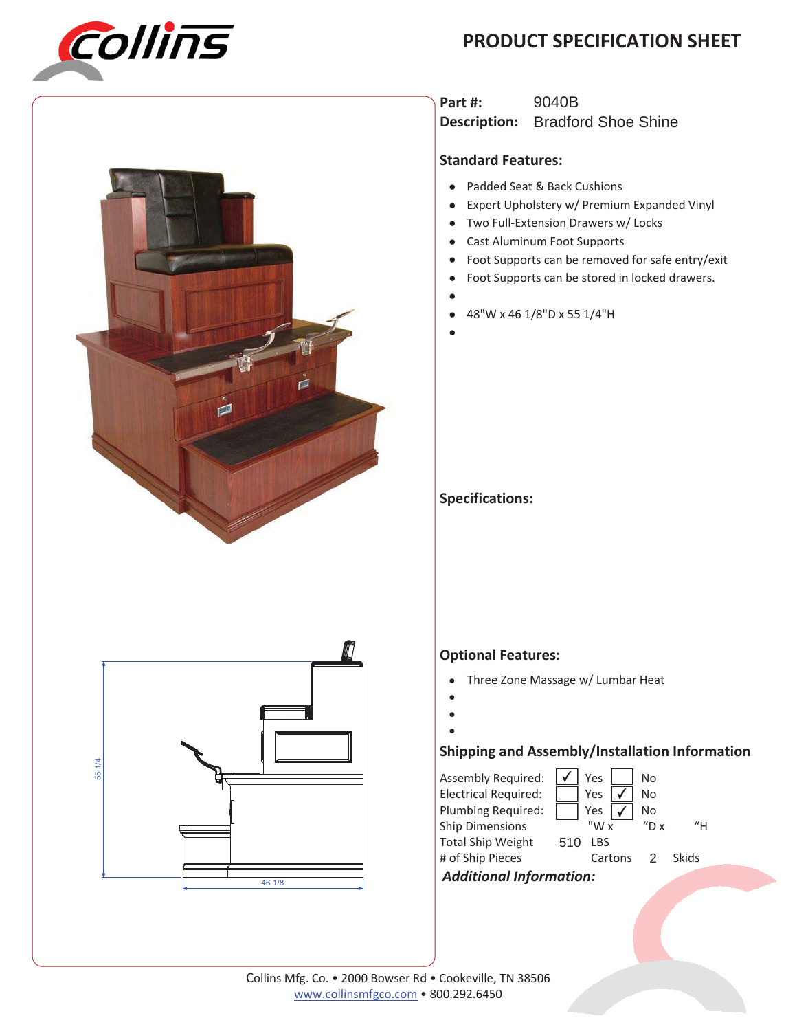## **PRODUCT SPECIFICATION SHEET**





**Part #: Description:** Bradford Shoe Shine 9040B

#### **Standard Features:**

- Padded Seat & Back Cushions
- Expert Upholstery w/ Premium Expanded Vinyl
- Two Full-Extension Drawers w/ Locks
- $\bullet$ Cast Aluminum Foot Supports
- $\bullet$ Foot Supports can be removed for safe entry/exit
- $\bullet$ Foot Supports can be stored in locked drawers.
- $\bullet$
- $\bullet$ 48"W x 46 1/8"D x 55 1/4"H
- $\bullet$

### **Specifications:**



### **Optional Features:**

- Three Zone Massage w/ Lumbar Heat
- $\bullet$
- $\bullet$  $\bullet$ 
	-

### **Shipping and Assembly/Installation Information**

| Assembly Required:             |     | <b>Yes</b> |  | No       |       |  |  |
|--------------------------------|-----|------------|--|----------|-------|--|--|
| <b>Electrical Required:</b>    |     | Yes        |  | No       |       |  |  |
| Plumbing Required:             |     | Yes        |  | No       |       |  |  |
| <b>Ship Dimensions</b>         |     | "W x       |  | $n_{D}x$ | "н    |  |  |
| <b>Total Ship Weight</b>       | 510 | LBS        |  |          |       |  |  |
| # of Ship Pieces               |     | Cartons 2  |  |          | Skids |  |  |
| <b>Additional Information:</b> |     |            |  |          |       |  |  |